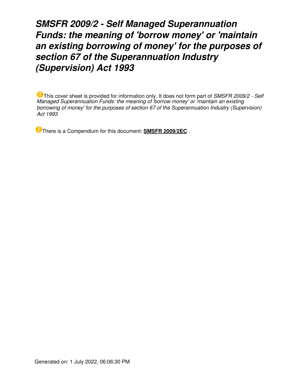### *SMSFR 2009/2 - Self Managed Superannuation Funds: the meaning of 'borrow money' or 'maintain an existing borrowing of money' for the purposes of section 67 of the Superannuation Industry (Supervision) Act 1993*

This cover sheet is provided for information only. It does not form part of *SMSFR 2009/2 - Self Managed Superannuation Funds: the meaning of 'borrow money' or 'maintain an existing borrowing of money' for the purposes of section 67 of the Superannuation Industry (Supervision) Act 1993*

There is a Compendium for this document: **[SMSFR 2009/2EC](https://www.ato.gov.au/law/view/document?LocID=%22CFR%2FSMSFR2009EC2%2FNAT%2FATO%2F00001%22&PiT=99991231235958)** .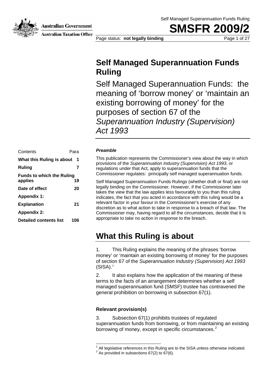**Australian Government** 

**SMSFR 200** 



**Australian Taxation Office** 

Page status: **not legally binding** Page 1 of 27

### **Self Managed Superannuation Funds Ruling**

Self Managed Superannuation Funds: the meaning of 'borrow money' or 'maintain an existing borrowing of money' for the purposes of section 67 of the *Superannuation Industry (Supervision) Act 1993*

### Contents Para *Preamble*  **What this Ruling is about 1 Funds to which the Ruling**  applies 19 **Date of effect 20 Appendix 1: Explanation** 21 **Appendix 2: Detailed contents list 106**

This publication represents the Commissioner's view about the way in which provisions of the *Superannuation Industry (Supervision) Act 1993*, or **Ruling Ruling Rulling** *Ruling* **7** *regulations under that Act, apply to superannuation funds that the <i>regulations* Commissioner regulates: principally self managed superannuation funds.

> Self Managed Superannuation Funds Rulings (whether draft or final) are not legally binding on the Commissioner. However, if the Commissioner later takes the view that the law applies less favourably to you than this ruling indicates, the fact that you acted in accordance with this ruling would be a relevant factor in your favour in the Commissioner's exercise of any discretion as to what action to take in response to a breach of that law. The Commissioner may, having regard to all the circumstances, decide that it is appropriate to take no action in response to the breach.

### **What this Ruling is about**

1. This Ruling explains the meaning of the phrases 'borrow money' or 'maintain an existing borrowing of money' for the purposes of section 67 of the *Superannuation Industry (Supervision) Act 1993*  $(SISA).<sup>1</sup>$ 

2. It also explains how the application of the meaning of these terms to the facts of an arrangement determines whether a self managed superannuation fund (SMSF) trustee has contravened the general prohibition on borrowing in subsection 67(1).

### **Relevant provision(s)**

-

3. Subsection 67(1) prohibits trustees of regulated superannuation funds from borrowing, or from maintaining an existing borrowing of money, except in specific circumstances.<sup>2</sup>

<sup>1</sup> All legislative references in this Ruling are to the SISA unless otherwise indicated.

 $2$  As provided in subsections 67(2) to 67(6).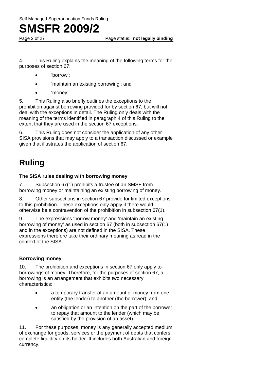Page 2 of 27 Page status: **not legally binding** 

4. This Ruling explains the meaning of the following terms for the purposes of section 67:

- 'borrow';
- 'maintain an existing borrowing'; and
- 'money'.

5. This Ruling also briefly outlines the exceptions to the prohibition against borrowing provided for by section 67, but will not deal with the exceptions in detail. The Ruling only deals with the meaning of the terms identified in paragraph 4 of this Ruling to the extent that they are used in the section 67 exceptions.

6. This Ruling does not consider the application of any other SISA provisions that may apply to a transaction discussed or example given that illustrates the application of section 67.

### **Ruling**

#### **The SISA rules dealing with borrowing money**

7. Subsection 67(1) prohibits a trustee of an SMSF from borrowing money or maintaining an existing borrowing of money.

8. Other subsections in section 67 provide for limited exceptions to this prohibition. These exceptions only apply if there would otherwise be a contravention of the prohibition in subsection 67(1).

9. The expressions 'borrow money' and 'maintain an existing borrowing of money' as used in section 67 (both in subsection 67(1) and in the exceptions) are not defined in the SISA. These expressions therefore take their ordinary meaning as read in the context of the SISA.

### **Borrowing money**

10. The prohibition and exceptions in section 67 only apply to borrowings of money. Therefore, for the purposes of section 67, a borrowing is an arrangement that exhibits two necessary characteristics:

- a temporary transfer of an amount of money from one entity (the lender) to another (the borrower); and
- an obligation or an intention on the part of the borrower to repay that amount to the lender (which may be satisfied by the provision of an asset).

11. For these purposes, money is any generally accepted medium of exchange for goods, services or the payment of debts that confers complete liquidity on its holder. It includes both Australian and foreign currency.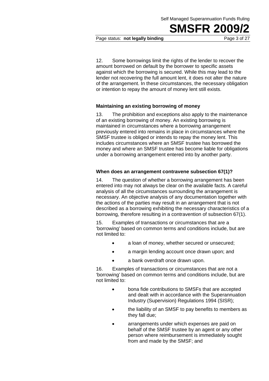Page status: **not legally binding** Page 3 of 27

12. Some borrowings limit the rights of the lender to recover the amount borrowed on default by the borrower to specific assets against which the borrowing is secured. While this may lead to the lender not recovering the full amount lent, it does not alter the nature of the arrangement. In these circumstances, the necessary obligation or intention to repay the amount of money lent still exists.

#### **Maintaining an existing borrowing of money**

13. The prohibition and exceptions also apply to the maintenance of an existing borrowing of money. An existing borrowing is maintained in circumstances where a borrowing arrangement previously entered into remains in place in circumstances where the SMSF trustee is obliged or intends to repay the money lent. This includes circumstances where an SMSF trustee has borrowed the money and where an SMSF trustee has become liable for obligations under a borrowing arrangement entered into by another party.

#### **When does an arrangement contravene subsection 67(1)?**

14. The question of whether a borrowing arrangement has been entered into may not always be clear on the available facts. A careful analysis of all the circumstances surrounding the arrangement is necessary. An objective analysis of any documentation together with the actions of the parties may result in an arrangement that is not described as a borrowing exhibiting the necessary characteristics of a borrowing, therefore resulting in a contravention of subsection 67(1).

15. Examples of transactions or circumstances that are a 'borrowing' based on common terms and conditions include, but are not limited to:

- a loan of money, whether secured or unsecured;
- a margin lending account once drawn upon; and
- a bank overdraft once drawn upon.

16. Examples of transactions or circumstances that are not a 'borrowing' based on common terms and conditions include, but are not limited to:

- bona fide contributions to SMSFs that are accepted and dealt with in accordance with the Superannuation Industry (Supervision) Regulations 1994 (SISR);
- the liability of an SMSF to pay benefits to members as they fall due;
- arrangements under which expenses are paid on behalf of the SMSF trustee by an agent or any other person where reimbursement is immediately sought from and made by the SMSF; and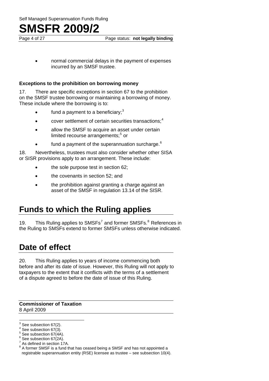Page 4 of 27 **Page status: not legally binding** 

• normal commercial delays in the payment of expenses incurred by an SMSF trustee.

#### **Exceptions to the prohibition on borrowing money**

17. There are specific exceptions in section 67 to the prohibition on the SMSF trustee borrowing or maintaining a borrowing of money. These include where the borrowing is to:

- $\bullet$  fund a payment to a beneficiary;<sup>3</sup>
- cover settlement of certain securities transactions; $<sup>4</sup>$ </sup>
- allow the SMSF to acquire an asset under certain limited recourse arrangements;<sup>5</sup> or
- fund a payment of the superannuation surcharge. $6$

18. Nevertheless, trustees must also consider whether other SISA or SISR provisions apply to an arrangement. These include:

- the sole purpose test in section 62;
- the covenants in section 52; and
- the prohibition against granting a charge against an asset of the SMSF in regulation 13.14 of the SISR.

### **Funds to which the Ruling applies**

19. This Ruling applies to SMSFs<sup>7</sup> and former SMSFs. $8$  References in the Ruling to SMSFs extend to former SMSFs unless otherwise indicated.

### **Date of effect**

20. This Ruling applies to years of income commencing both before and after its date of issue. However, this Ruling will not apply to taxpayers to the extent that it conflicts with the terms of a settlement of a dispute agreed to before the date of issue of this Ruling.

**Commissioner of Taxation**  8 April 2009

 $^3$  See subsection 67(2).

 $4$  See subsection 67(3).

 $5$  See subsection 67(4A).

 $^6$  See subsection 67(2A).

As defined in section 17A.

 $8$  A former SMSF is a fund that has ceased being a SMSF and has not appointed a registrable superannuation entity (RSE) licensee as trustee – see subsection 10(4).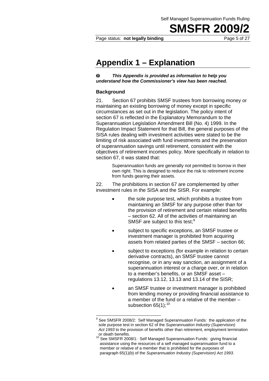Self Managed Superannuation Funds Ruling

**SMSFR 2009** 

Page status: **not legally binding** Page 5 of 27

### **Appendix 1 – Explanation**

 $\bf{O}$ *This Appendix is provided as information to help you understand how the Commissioner's view has been reached.* 

#### **Background**

1

21. Section 67 prohibits SMSF trustees from borrowing money or maintaining an existing borrowing of money except in specific circumstances as set out in the legislation. The policy intent of section 67 is reflected in the Explanatory Memorandum to the Superannuation Legislation Amendment Bill (No. 4) 1999. In the Regulation Impact Statement for that Bill, the general purposes of the SISA rules dealing with investment activities were stated to be the limiting of risk associated with fund investments and the preservation of superannuation savings until retirement, consistent with the objectives of retirement incomes policy. More specifically in relation to section 67, it was stated that:

> Superannuation funds are generally not permitted to borrow in their own right. This is designed to reduce the risk to retirement income from funds gearing their assets.

22. The prohibitions in section 67 are complemented by other investment rules in the SISA and the SISR. For example:

- the sole purpose test, which prohibits a trustee from maintaining an SMSF for any purpose other than for the provision of retirement and certain related benefits – section 62. All of the activities of maintaining an SMSF are subject to this test;<sup>9</sup>
- subject to specific exceptions, an SMSF trustee or investment manager is prohibited from acquiring assets from related parties of the SMSF – section 66;
- subject to exceptions (for example in relation to certain derivative contracts), an SMSF trustee cannot recognise, or in any way sanction, an assignment of a superannuation interest or a charge over, or in relation to a member's benefits, or an SMSF asset – regulations 13.12, 13.13 and 13.14 of the SISR;
- an SMSF trustee or investment manager is prohibited from lending money or providing financial assistance to a member of the fund or a relative of the member – subsection  $65(1)$ ;<sup>10</sup>

<sup>9</sup> See SMSFR 2008/2: Self Managed Superannuation Funds: the application of the sole purpose test in section 62 of the *Superannuation Industry (Supervision) Act 1993* to the provision of benefits other than retirement, employment termination or death benefits.

<sup>10</sup> See SMSFR 2008/1: Self Managed Superannuation Funds: giving financial assistance using the resources of a self managed superannuation fund to a member or relative of a member that is prohibited for the purposes of paragraph 65(1)(b) of the *Superannuation Industry (Supervision) Act 1993*.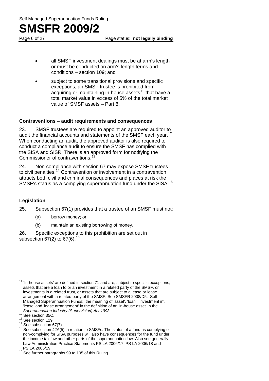Page 6 of 27 **Page status: not legally binding** 

- all SMSF investment dealings must be at arm's length or must be conducted on arm's length terms and conditions – section 109; and
- subject to some transitional provisions and specific exceptions, an SMSF trustee is prohibited from acquiring or maintaining in-house assets<sup>11</sup> that have a total market value in excess of 5% of the total market value of SMSF assets – Part 8.

#### **Contraventions – audit requirements and consequences**

23. SMSF trustees are required to appoint an approved auditor to audit the financial accounts and statements of the SMSF each year.<sup>12</sup> When conducting an audit, the approved auditor is also required to conduct a compliance audit to ensure the SMSF has complied with the SISA and SISR. There is an approved form for notifying the Commissioner of contraventions.

24. Non-compliance with section 67 may expose SMSF trustees to civil penalties.<sup>14</sup> Contravention or involvement in a contravention attracts both civil and criminal consequences and places at risk the SMSF's status as a complying superannuation fund under the SISA.<sup>15</sup>

### **Legislation**

25. Subsection 67(1) provides that a trustee of an SMSF must not:

- (a) borrow money; or
- (b) maintain an existing borrowing of money.

26. Specific exceptions to this prohibition are set out in subsection  $67(2)$  to  $67(6)$ .<sup>16</sup>

 $11$  'In-house assets' are defined in section 71 and are, subject to specific exceptions, assets that are a loan to or an investment in a related party of the SMSF, or investments in a related trust, or assets that are subject to a lease or lease arrangement with a related party of the SMSF. See SMSFR 2008/D5: Self Managed Superannuation Funds: the meaning of 'asset', 'loan', 'investment in', 'lease<sup>'</sup> and 'lease arrangement' in the definition of an 'in-house asset' in the Superannuation Industry (Supervision) Act 1993.

<sup>&</sup>lt;sup>12</sup> See section 35C.<br><sup>13</sup> See section 129.<br><sup>14</sup> See subsection 67(7).<br><sup>15</sup> See subsection 42A(5) in relation to SMSFs. The status of a fund as complying or non-complying for SISA purposes will also have consequences for the fund under the income tax law and other parts of the superannuation law. Also see generally Law Administration Practice Statements PS LA 2006/17, PS LA 2006/18 and

 $16$  See further paragraphs 99 to 105 of this Ruling.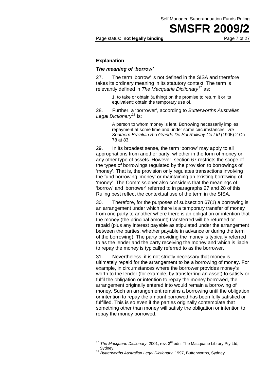Page status: **not legally binding** Page 7 of 27

#### **Explanation**

#### *The meaning of 'borrow'*

27. The term 'borrow' is not defined in the SISA and therefore takes its ordinary meaning in its statutory context. The term is relevantly defined in *The Macquarie Dictionary*17 as:

> 1. to take or obtain (a thing) on the promise to return it or its equivalent; obtain the temporary use of.

28. Further, a 'borrower', according to *Butterworths Australian*  Legal Dictionary<sup>18</sup> is:

> A person to whom money is lent. Borrowing necessarily implies repayment at some time and under some circumstances: *Re Southern Brazilian Rio Grande Do Sul Railway Co Ltd* (1905) 2 Ch 78 at 83.

29. In its broadest sense, the term 'borrow' may apply to all appropriations from another party, whether in the form of money or any other type of assets. However, section 67 restricts the scope of the types of borrowings regulated by the provision to borrowings of 'money'. That is, the provision only regulates transactions involving the fund borrowing 'money' or maintaining an existing borrowing of 'money'. The Commissioner also considers that the meanings of 'borrow' and 'borrower' referred to in paragraphs 27 and 28 of this Ruling best reflect the contextual use of the term in the SISA.

30. Therefore, for the purposes of subsection 67(1) a borrowing is an arrangement under which there is a temporary transfer of money from one party to another where there is an obligation or intention that the money (the principal amount) transferred will be returned or repaid (plus any interest payable as stipulated under the arrangement between the parties, whether payable in advance or during the term of the borrowing). The party providing the money is typically referred to as the lender and the party receiving the money and which is liable to repay the money is typically referred to as the borrower.

31. Nevertheless, it is not strictly necessary that money is ultimately repaid for the arrangement to be a borrowing of money. For example, in circumstances where the borrower provides money's worth to the lender (for example, by transferring an asset) to satisfy or fulfil the obligation or intention to repay the money borrowed, the arrangement originally entered into would remain a borrowing of money. Such an arrangement remains a borrowing until the obligation or intention to repay the amount borrowed has been fully satisfied or fulfilled. This is so even if the parties originally contemplate that something other than money will satisfy the obligation or intention to repay the money borrowed.

1

<sup>17</sup> *The Macquarie Dictionary*, 2001, rev. 3rd edn, The Macquarie Library Pty Ltd, Sydney. 18 *Butterworths Australian Legal Dictionary*, 1997, Butterworths, Sydney.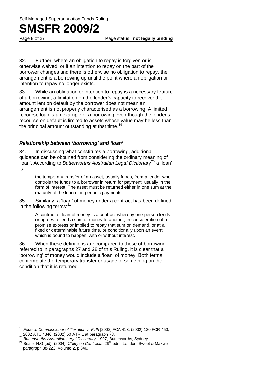Page 8 of 27 **Page status: not legally binding** 

32. Further, where an obligation to repay is forgiven or is otherwise waived, or if an intention to repay on the part of the borrower changes and there is otherwise no obligation to repay, the arrangement is a borrowing up until the point where an obligation or intention to repay no longer exists.

33. While an obligation or intention to repay is a necessary feature of a borrowing, a limitation on the lender's capacity to recover the amount lent on default by the borrower does not mean an arrangement is not properly characterised as a borrowing. A limited recourse loan is an example of a borrowing even though the lender's recourse on default is limited to assets whose value may be less than the principal amount outstanding at that time.<sup>19</sup>

#### *Relationship between 'borrowing' and 'loan'*

34. In discussing what constitutes a borrowing, additional guidance can be obtained from considering the ordinary meaning of 'loan'. According to *Butterworths Australian Legal Dictionary*<sup>20</sup> a 'loan' is:

> the temporary transfer of an asset, usually funds, from a lender who controls the funds to a borrower in return for payment, usually in the form of interest. The asset must be returned either in one sum at the maturity of the loan or in periodic payments.

35. Similarly, a 'loan' of money under a contract has been defined in the following terms: $^{21}$ 

> A contract of loan of money is a contract whereby one person lends or agrees to lend a sum of money to another, in consideration of a promise express or implied to repay that sum on demand, or at a fixed or determinable future time, or conditionally upon an event which is bound to happen, with or without interest.

36. When these definitions are compared to those of borrowing referred to in paragraphs 27 and 28 of this Ruling, it is clear that a 'borrowing' of money would include a 'loan' of money. Both terms contemplate the temporary transfer or usage of something on the condition that it is returned.

<sup>19</sup> *Federal Commissioner of Taxation v. Firth* [2002] FCA 413; (2002) 120 FCR 450;<br>2002 ATC 4346; (2002) 50 ATR 1 at paragraph 73.

<sup>20</sup> *Butterworths Australian Legal Dictionary*, 1997, Butterworths, Sydney.<br><sup>21</sup> Beale, H.G (ed), (2004), *Chitty on Contracts*, 29<sup>th</sup> edn., London, Sweet & Maxwell, paragraph 38-223, Volume 2, p.840.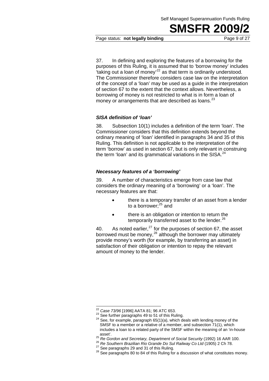Page status: **not legally binding** Page 9 of 27

37. In defining and exploring the features of a borrowing for the purposes of this Ruling, it is assumed that to 'borrow money' includes  $\cdot$  taking out a loan of money<sup>22</sup> as that term is ordinarily understood. The Commissioner therefore considers case law on the interpretation of the concept of a 'loan' may be used as a guide in the interpretation of section 67 to the extent that the context allows. Nevertheless, a borrowing of money is not restricted to what is in form a loan of money or arrangements that are described as loans.<sup>23</sup>

#### *SISA definition of 'loan'*

38. Subsection 10(1) includes a definition of the term 'loan'. The Commissioner considers that this definition extends beyond the ordinary meaning of 'loan' identified in paragraphs 34 and 35 of this Ruling. This definition is not applicable to the interpretation of the term 'borrow' as used in section 67, but is only relevant in construing the term 'loan' and its grammatical variations in the SISA. $^{24}$ 

#### *Necessary features of a 'borrowing'*

39. A number of characteristics emerge from case law that considers the ordinary meaning of a 'borrowing' or a 'loan'. The necessary features are that:

- there is a temporary transfer of an asset from a lender to a borrower;<sup>25</sup> and
- there is an obligation or intention to return the temporarily transferred asset to the lender.<sup>26</sup>

40. As noted earlier, $27$  for the purposes of section 67, the asset borrowed must be money, $^{28}$  although the borrower may ultimately provide money's worth (for example, by transferring an asset) in satisfaction of their obligation or intention to repay the relevant amount of money to the lender.

<sup>&</sup>lt;sup>22</sup> Case 73/96 [1996] AATA 81; 96 ATC 653.

<sup>23</sup> See further paragraphs 49 to 51 of this Ruling.<br><sup>24</sup> See, for example, paragraph 65(1)(a), which deals with lending money of the SMSF to a member or a relative of a member, and subsection 71(1), which includes a loan to a related party of the SMSF within the meaning of an 'in-house asset'.<br>
<sup>25</sup> Re Gordon and Secretary, Department of Social Security (1992) 16 AAR 100.<br>
<sup>26</sup> Re Southern Brazilian Rio Grande Do Sul Railway Co Ltd (1905) 2 Ch 78.<br>
<sup>27</sup> See paragraphs 29 and 31 of this Ruling.<br>
<sup>28</sup> See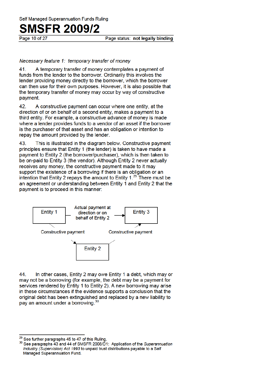Page 10 of 27

Page status: not legally binding

#### Necessary feature 1: temporary transfer of money

41. A temporary transfer of money contemplates a payment of funds from the lender to the borrower. Ordinarily this involves the lender providing money directly to the borrower, which the borrower can then use for their own purposes. However, it is also possible that the temporary transfer of money may occur by way of constructive payment.

42. A constructive payment can occur where one entity, at the direction of or on behalf of a second entity, makes a payment to a third entity. For example, a constructive advance of money is made where a lender provides funds to a vendor of an asset if the borrower is the purchaser of that asset and has an obligation or intention to repay the amount provided by the lender.

43. This is illustrated in the diagram below. Constructive payment principles ensure that Entity 1 (the lender) is taken to have made a payment to Entity 2 (the borrower/purchaser), which is then taken to be on-paid to Entity 3 (the vendor). Although Entity 2 never actually receives any money, the constructive payment made to it may support the existence of a borrowing if there is an obligation or an intention that Entity 2 repays the amount to Entity  $1.^{29}$  There must be an agreement or understanding between Entity 1 and Entity 2 that the payment is to proceed in this manner:



44. In other cases, Entity 2 may owe Entity 1 a debt, which may or may not be a borrowing (for example, the debt may be a payment for services rendered by Entity 1 to Entity 2). A new borrowing may arise in these circumstances if the evidence supports a conclusion that the original debt has been extinguished and replaced by a new liability to pay an amount under a borrowing.<sup>30</sup>

<sup>29</sup> See further paragraphs 45 to 47 of this Ruling.

<sup>30</sup> See paragraphs 43 and 44 of SMSFR 2008/D1: Application of the Superannuation Industry (Supervision) Act 1993 to unpaid trust distributions payable to a Self Managed Superannuation Fund.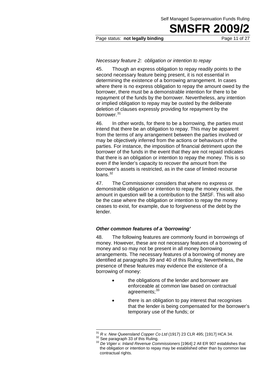#### Page status: **not legally binding** Page 11 of 27

#### *Necessary feature 2: obligation or intention to repay*

45. Though an express obligation to repay readily points to the second necessary feature being present, it is not essential in determining the existence of a borrowing arrangement. In cases where there is no express obligation to repay the amount owed by the borrower, there must be a demonstrable intention for there to be repayment of the funds by the borrower. Nevertheless, any intention or implied obligation to repay may be ousted by the deliberate deletion of clauses expressly providing for repayment by the borrower.<sup>31</sup>

46. In other words, for there to be a borrowing, the parties must intend that there be an obligation to repay. This may be apparent from the terms of any arrangement between the parties involved or may be objectively inferred from the actions or behaviours of the parties. For instance, the imposition of financial detriment upon the borrower of the funds in the event that they are not repaid indicates that there is an obligation or intention to repay the money. This is so even if the lender's capacity to recover the amount from the borrower's assets is restricted, as in the case of limited recourse  $loans.<sup>32</sup>$ 

47. The Commissioner considers that where no express or demonstrable obligation or intention to repay the money exists, the amount in question will be a contribution to the SMSF. This will also be the case where the obligation or intention to repay the money ceases to exist, for example, due to forgiveness of the debt by the lender.

#### *Other common features of a 'borrowing'*

48. The following features are commonly found in borrowings of money. However, these are not necessary features of a borrowing of money and so may not be present in all money borrowing arrangements. The necessary features of a borrowing of money are identified at paragraphs 39 and 40 of this Ruling. Nevertheless, the presence of these features may evidence the existence of a borrowing of money:

- the obligations of the lender and borrower are enforceable at common law based on contractual agreements: 33
- there is an obligation to pay interest that recognises that the lender is being compensated for the borrower's temporary use of the funds; or

 $31$  R v. New Queensland Copper Co Ltd (1917) 23 CLR 495; [1917] HCA 34.

<sup>&</sup>lt;sup>32</sup> See paragraph 33 of this Ruling.<br><sup>33</sup> De Vigier v. Inland Revenue Commissioners [1964] 2 All ER 907 establishes that the obligation or intention to repay may be established other than by common law contractual rights.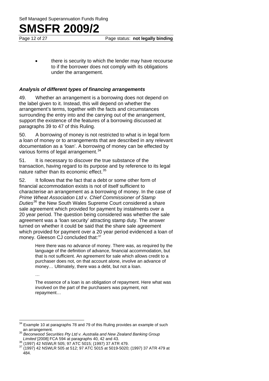Page 12 of 27 **Page status: not legally binding** 

there is security to which the lender may have recourse to if the borrower does not comply with its obligations under the arrangement.

#### *Analysis of different types of financing arrangements*

49. Whether an arrangement is a borrowing does not depend on the label given to it. Instead, this will depend on whether the arrangement's terms, together with the facts and circumstances surrounding the entry into and the carrying out of the arrangement, support the existence of the features of a borrowing discussed at paragraphs 39 to 47 of this Ruling.

50. A borrowing of money is not restricted to what is in legal form a loan of money or to arrangements that are described in any relevant documentation as a 'loan'. A borrowing of money can be effected by various forms of legal arrangement.<sup>34</sup>

51. It is necessary to discover the true substance of the transaction, having regard to its purpose and by reference to its legal nature rather than its economic effect.<sup>35</sup>

52. It follows that the fact that a debt or some other form of financial accommodation exists is not of itself sufficient to characterise an arrangement as a borrowing of money. In the case of *Prime Wheat Association Ltd v. Chief Commissioner of Stamp Duties*36 the New South Wales Supreme Court considered a share sale agreement which provided for payment by instalments over a 20 year period. The question being considered was whether the sale agreement was a 'loan security' attracting stamp duty. The answer turned on whether it could be said that the share sale agreement which provided for payment over a 20 year period evidenced a loan of money. Gleeson CJ concluded that:<sup>37</sup>

> Here there was no advance of money. There was, as required by the language of the definition of advance, financial accommodation, but that is not sufficient. An agreement for sale which allows credit to a purchaser does not, on that account alone, involve an advance of money… Ultimately, there was a debt, but not a loan.

…

The essence of a loan is an obligation of repayment. Here what was involved on the part of the purchasers was payment, not repayment…

 $\overline{\phantom{a}}$ Example 10 at paragraphs 78 and 79 of this Ruling provides an example of such an arrangement. 35 *Beconwood Securities Pty Ltd v. Australia and New Zealand Banking Group* 

*Limited* [2008] FCA 594 at paragraphs 40, 42 and 43.<br><sup>36</sup> (1997) 42 NSWLR 505; 97 ATC 5015; (1997) 37 ATR 479.<br><sup>37</sup> (1997) 42 NSWLR 505 at 512; 97 ATC 5015 at 5019-5020; (1997) 37 ATR 479 at

<sup>484.</sup>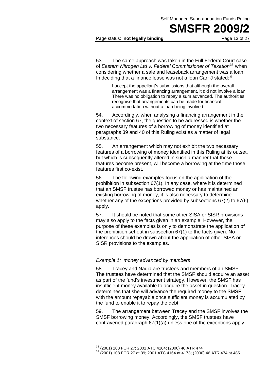#### Page status: **not legally binding** Page 13 of 27

53. The same approach was taken in the Full Federal Court case of *Eastern Nitrogen Ltd v. Federal Commissioner of Taxation*38 when considering whether a sale and leaseback arrangement was a loan. In deciding that a finance lease was not a loan Carr J stated:<sup>39</sup>

> I accept the appellant's submissions that although the overall arrangement was a financing arrangement, it did not involve a loan. There was no obligation to repay a sum advanced. The authorities recognise that arrangements can be made for financial accommodation without a loan being involved…

54. Accordingly, when analysing a financing arrangement in the context of section 67, the question to be addressed is whether the two necessary features of a borrowing of money identified at paragraphs 39 and 40 of this Ruling exist as a matter of legal substance.

55. An arrangement which may not exhibit the two necessary features of a borrowing of money identified in this Ruling at its outset, but which is subsequently altered in such a manner that these features become present, will become a borrowing at the time those features first co-exist.

56. The following examples focus on the application of the prohibition in subsection 67(1). In any case, where it is determined that an SMSF trustee has borrowed money or has maintained an existing borrowing of money, it is also necessary to determine whether any of the exceptions provided by subsections 67(2) to 67(6) apply.

57. It should be noted that some other SISA or SISR provisions may also apply to the facts given in an example. However, the purpose of these examples is only to demonstrate the application of the prohibition set out in subsection 67(1) to the facts given. No inferences should be drawn about the application of other SISA or SISR provisions to the examples.

#### *Example 1: money advanced by members*

58. Tracey and Nadia are trustees and members of an SMSF. The trustees have determined that the SMSF should acquire an asset as part of the fund's investment strategy. However, the SMSF has insufficient money available to acquire the asset in question. Tracey determines that she will advance the required money to the SMSF with the amount repayable once sufficient money is accumulated by the fund to enable it to repay the debt.

59. The arrangement between Tracey and the SMSF involves the SMSF borrowing money. Accordingly, the SMSF trustees have contravened paragraph 67(1)(a) unless one of the exceptions apply.

<sup>&</sup>lt;sup>38</sup> (2001) 108 FCR 27; 2001 ATC 4164; (2000) 46 ATR 474.

 $39$  (2001) 108 FCR 27 at 39; 2001 ATC 4164 at 4173; (2000) 46 ATR 474 at 485.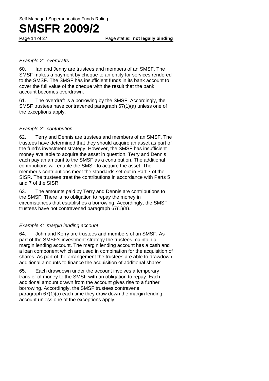Page 14 of 27 **Page status: not legally binding** 

#### *Example 2: overdrafts*

60. Ian and Jenny are trustees and members of an SMSF. The SMSF makes a payment by cheque to an entity for services rendered to the SMSF. The SMSF has insufficient funds in its bank account to cover the full value of the cheque with the result that the bank account becomes overdrawn.

61. The overdraft is a borrowing by the SMSF. Accordingly, the SMSF trustees have contravened paragraph 67(1)(a) unless one of the exceptions apply.

#### *Example 3: contribution*

62. Terry and Dennis are trustees and members of an SMSF. The trustees have determined that they should acquire an asset as part of the fund's investment strategy. However, the SMSF has insufficient money available to acquire the asset in question. Terry and Dennis each pay an amount to the SMSF as a contribution. The additional contributions will enable the SMSF to acquire the asset. The member's contributions meet the standards set out in Part 7 of the SISR. The trustees treat the contributions in accordance with Parts 5 and 7 of the SISR.

63. The amounts paid by Terry and Dennis are contributions to the SMSF. There is no obligation to repay the money in circumstances that establishes a borrowing. Accordingly, the SMSF trustees have not contravened paragraph 67(1)(a).

#### *Example 4: margin lending account*

64. John and Kerry are trustees and members of an SMSF. As part of the SMSF's investment strategy the trustees maintain a margin lending account. The margin lending account has a cash and a loan component which are used in combination for the acquisition of shares. As part of the arrangement the trustees are able to drawdown additional amounts to finance the acquisition of additional shares.

65. Each drawdown under the account involves a temporary transfer of money to the SMSF with an obligation to repay. Each additional amount drawn from the account gives rise to a further borrowing. Accordingly, the SMSF trustees contravene paragraph 67(1)(a) each time they draw down the margin lending account unless one of the exceptions apply.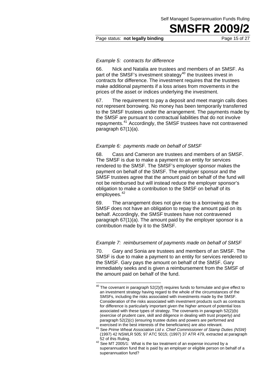#### Page status: **not legally binding** Page 15 of 27

#### *Example 5: contracts for difference*

66. Nick and Natalia are trustees and members of an SMSF. As part of the SMSF's investment strategy<sup>40</sup> the trustees invest in contracts for difference. The investment requires that the trustees make additional payments if a loss arises from movements in the prices of the asset or indices underlying the investment.

67. The requirement to pay a deposit and meet margin calls does not represent borrowing. No money has been temporarily transferred to the SMSF trustees under the arrangement. The payments made by the SMSF are pursuant to contractual liabilities that do not involve repayments.41 Accordingly, the SMSF trustees have not contravened paragraph 67(1)(a).

#### *Example 6: payments made on behalf of SMSF*

68. Cass and Cameron are trustees and members of an SMSF. The SMSF is due to make a payment to an entity for services rendered to the SMSF. The SMSF's employer sponsor makes the payment on behalf of the SMSF. The employer sponsor and the SMSF trustees agree that the amount paid on behalf of the fund will not be reimbursed but will instead reduce the employer sponsor's obligation to make a contribution to the SMSF on behalf of its employees.<sup>42</sup>

69. The arrangement does not give rise to a borrowing as the SMSF does not have an obligation to repay the amount paid on its behalf. Accordingly, the SMSF trustees have not contravened paragraph 67(1)(a). The amount paid by the employer sponsor is a contribution made by it to the SMSF.

#### *Example 7: reimbursement of payments made on behalf of SMSF*

70. Gary and Sonia are trustees and members of an SMSF. The SMSF is due to make a payment to an entity for services rendered to the SMSF. Gary pays the amount on behalf of the SMSF. Gary immediately seeks and is given a reimbursement from the SMSF of the amount paid on behalf of the fund.

1

 $40$  The covenant in paragraph 52(2)(f) requires funds to formulate and give effect to an investment strategy having regard to the whole of the circumstances of the SMSFs, including the risks associated with investments made by the SMSF. Consideration of the risks associated with investment products such as contracts for difference is particularly important given the higher amount of potential loss associated with these types of strategy. The covenants in paragraph 52(2)(b) (exercise of prudent care, skill and diligence in dealing with trust property) and paragraph 52(2)(c) (ensuring trustee duties and powers are performed and

exercised in the best interests of the beneficiaries) are also relevant. 41 See *Prime Wheat Association Ltd v. Chief Commissioner of Stamp Duties (NSW)* (1997) 42 NSWLR 505; 97 ATC 5015; (1997) 37 ATR 479, extracted at paragraph

<sup>52</sup> of this Ruling.<br> $42$  See MT 2005/1: What is the tax treatment of an expense incurred by a superannuation fund that is paid by an employer or eligible person on behalf of a superannuation fund?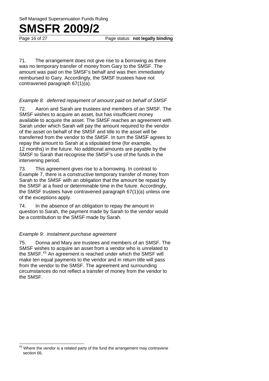Page 16 of 27 **Page status: not legally binding** 

71. The arrangement does not give rise to a borrowing as there was no temporary transfer of money from Gary to the SMSF. The amount was paid on the SMSF's behalf and was then immediately reimbursed to Gary. Accordingly, the SMSF trustees have not contravened paragraph 67(1)(a).

#### *Example 8: deferred repayment of amount paid on behalf of SMSF*

72. Aaron and Sarah are trustees and members of an SMSF. The SMSF wishes to acquire an asset, but has insufficient money available to acquire the asset. The SMSF reaches an agreement with Sarah under which Sarah will pay the amount required to the vendor of the asset on behalf of the SMSF and title to the asset will be transferred from the vendor to the SMSF. In turn the SMSF agrees to repay the amount to Sarah at a stipulated time (for example, 12 months) in the future. No additional amounts are payable by the SMSF to Sarah that recognise the SMSF's use of the funds in the intervening period.

73. This agreement gives rise to a borrowing. In contrast to Example 7, there is a constructive temporary transfer of money from Sarah to the SMSF with an obligation that the amount be repaid by the SMSF at a fixed or determinable time in the future. Accordingly, the SMSF trustees have contravened paragraph 67(1)(a) unless one of the exceptions apply.

74. In the absence of an obligation to repay the amount in question to Sarah, the payment made by Sarah to the vendor would be a contribution to the SMSF made by Sarah.

#### *Example 9: instalment purchase agreement*

 $\overline{a}$ 

75. Donna and Mary are trustees and members of an SMSF. The SMSF wishes to acquire an asset from a vendor who is unrelated to the SMSF.43 An agreement is reached under which the SMSF will make ten equal payments to the vendor and in return title will pass from the vendor to the SMSF. The agreement and surrounding circumstances do not reflect a transfer of money from the vendor to the SMSF.

 $43$  Where the vendor is a related party of the fund the arrangement may contravene section 66.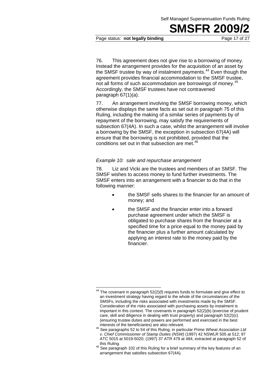#### Page status: **not legally binding** Page 17 of 27

76. This agreement does not give rise to a borrowing of money. Instead the arrangement provides for the acquisition of an asset by the SMSF trustee by way of instalment payments.<sup>44</sup> Even though the agreement provides financial accommodation to the SMSF trustee, not all forms of such accommodation are borrowings of money.<sup>45</sup> Accordingly, the SMSF trustees have not contravened paragraph 67(1)(a).

77. An arrangement involving the SMSF borrowing money, which otherwise displays the same facts as set out in paragraph 75 of this Ruling, including the making of a similar series of payments by of repayment of the borrowing, may satisfy the requirements of subsection 67(4A). In such a case, whilst the arrangement will involve a borrowing by the SMSF, the exception in subsection 67(4A) will ensure that the borrowing is not prohibited, provided that the conditions set out in that subsection are met.<sup>46</sup>

#### *Example 10: sale and repurchase arrangement*

78. Liz and Vicki are the trustees and members of an SMSF. The SMSF wishes to access money to fund further investments. The SMSF enters into an arrangement with a financier to do that in the following manner:

- the SMSF sells shares to the financier for an amount of money; and
- the SMSF and the financier enter into a forward purchase agreement under which the SMSF is obligated to purchase shares from the financier at a specified time for a price equal to the money paid by the financier plus a further amount calculated by applying an interest rate to the money paid by the financier.

 $\overline{a}$  $44$  The covenant in paragraph 52(2)(f) requires funds to formulate and give effect to an investment strategy having regard to the whole of the circumstances of the SMSFs, including the risks associated with investments made by the SMSF. Consideration of the risks associated with purchasing assets by instalment is important in this context. The covenants in paragraph 52(2)(b) (exercise of prudent care, skill and diligence in dealing with trust property) and paragraph 52(2)(c) (ensuring trustee duties and powers are performed and exercised in the best

interests of the beneficiaries) are also relevant. 45 See paragraphs 52 to 54 of this Ruling, in particular *Prime Wheat Association Ltd v. Chief Commissioner of Stamp Duties (NSW)* (1997) 42 NSWLR 505 at 512; 97 ATC 5015 at 5019-5020; (1997) 37 ATR 479 at 484, extracted at paragraph 52 of

this Ruling.<br><sup>46</sup> See paragraph 102 of this Ruling for a brief summary of the key features of an arrangement that satisfies subsection 67(4A).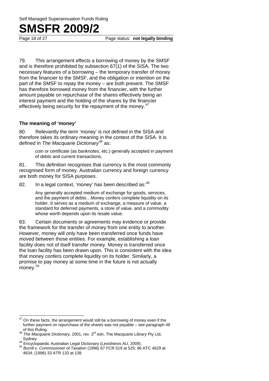Page 18 of 27 **Page status: not legally binding** 

79. This arrangement effects a borrowing of money by the SMSF and is therefore prohibited by subsection 67(1) of the SISA. The two necessary features of a borrowing – the temporary transfer of money from the financier to the SMSF, and the obligation or intention on the part of the SMSF to repay the money – are both present. The SMSF has therefore borrowed money from the financier, with the further amount payable on repurchase of the shares effectively being an interest payment and the holding of the shares by the financier effectively being security for the repayment of the money.<sup>47</sup>

#### **The meaning of 'money'**

80. Relevantly the term 'money' is not defined in the SISA and therefore takes its ordinary meaning in the context of the SISA. It is defined in *The Macquarie Dictionary*<sup>48</sup> as:

> coin or certificate (as banknotes, etc.) generally accepted in payment of debts and current transactions.

81. This definition recognises that currency is the most commonly recognised form of money. Australian currency and foreign currency are both money for SISA purposes.

82. In a legal context, 'money' has been described as: <sup>49</sup>

Any generally accepted medium of exchange for goods, services, and the payment of debts…Money confers complete liquidity on its holder. It serves as a medium of exchange, a measure of value, a standard for deferred payments, a store of value, and a commodity whose worth depends upon its resale value.

83. Certain documents or agreements may evidence or provide the framework for the transfer of money from one entity to another. However, money will only have been transferred once funds have moved between those entities. For example, establishing a loan facility does not of itself transfer money. Money is transferred once the loan facility has been drawn upon. This is consistent with the idea that money confers complete liquidity on its holder. Similarly, a promise to pay money at some time in the future is not actually money.<sup>50</sup>

 47 On these facts, the arrangement would still be a borrowing of money even if the further payment on repurchase of the shares was not payable – see paragraph 48

of this Ruling. 48 *The Macquarie Dictionary*, 2001, rev. 3rd edn, The Macquarie Library Pty Ltd, Sydney. 49 Encyclopaedic Australian Legal Dictionary (LexisNexis AU, 2009). 50 *Burrill v. Commissioner of Taxation* (1996) 67 FCR 519 at 525; 96 ATC 4629 at

<sup>4634; (1996) 33</sup> ATR 133 at 138.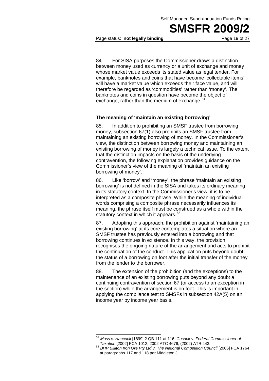Page status: **not legally binding** Page 19 of 27

84. For SISA purposes the Commissioner draws a distinction between money used as currency or a unit of exchange and money whose market value exceeds its stated value as legal tender. For example, banknotes and coins that have become 'collectable items' will have a market value which exceeds their face value, and will therefore be regarded as 'commodities' rather than 'money'. The banknotes and coins in question have become the object of exchange, rather than the medium of exchange. $51$ 

#### **The meaning of 'maintain an existing borrowing'**

85. In addition to prohibiting an SMSF trustee from borrowing money, subsection 67(1) also prohibits an SMSF trustee from maintaining an existing borrowing of money. In the Commissioner's view, the distinction between borrowing money and maintaining an existing borrowing of money is largely a technical issue. To the extent that the distinction impacts on the basis of the underlying contravention, the following explanation provides guidance on the Commissioner's view of the meaning of 'maintain an existing borrowing of money'.

86. Like 'borrow' and 'money', the phrase 'maintain an existing borrowing' is not defined in the SISA and takes its ordinary meaning in its statutory context. In the Commissioner's view, it is to be interpreted as a composite phrase. While the meaning of individual words comprising a composite phrase necessarily influences its meaning, the phrase itself must be construed as a whole within the statutory context in which it appears.<sup>52</sup>

87. Adopting this approach, the prohibition against 'maintaining an existing borrowing' at its core contemplates a situation where an SMSF trustee has previously entered into a borrowing and that borrowing continues in existence. In this way, the provision recognises the ongoing nature of the arrangement and acts to prohibit the continuation of the conduct. This application puts beyond doubt the status of a borrowing on foot after the initial transfer of the money from the lender to the borrower.

88. The extension of the prohibition (and the exceptions) to the maintenance of an existing borrowing puts beyond any doubt a continuing contravention of section 67 (or access to an exception in the section) while the arrangement is on foot. This is important in applying the compliance test to SMSFs in subsection 42A(5) on an income year by income year basis.

 $\overline{\phantom{a}}$ <sup>51</sup> *Moss v. Hancock* [1899] 2 QB 111 at 116; *Cusack v. Federal Commissioner of* 

<sup>&</sup>lt;sup>52</sup> BHP Billiton Iron Ore Pty Ltd v. The National Competition Council [2006] FCA 1764 at paragraphs 117 and 118 per Middleton J.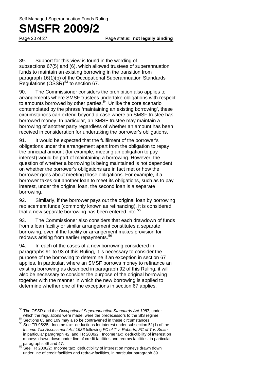Page 20 of 27 **Page status: not legally binding** 

89. Support for this view is found in the wording of subsections 67(5) and (6), which allowed trustees of superannuation funds to maintain an existing borrowing in the transition from paragraph 16(1)(b) of the Occupational Superannuation Standards Regulations  $(0SSR)^{53}$  to section 67.

90. The Commissioner considers the prohibition also applies to arrangements where SMSF trustees undertake obligations with respect to amounts borrowed by other parties.<sup>54</sup> Unlike the core scenario contemplated by the phrase 'maintaining an existing borrowing', these circumstances can extend beyond a case where an SMSF trustee has borrowed money. In particular, an SMSF trustee may maintain a borrowing of another party regardless of whether an amount has been received in consideration for undertaking the borrower's obligations.

91. It would be expected that the fulfilment of the borrower's obligations under the arrangement apart from the obligation to repay the principal amount (for example, meeting an obligation to pay interest) would be part of maintaining a borrowing. However, the question of whether a borrowing is being maintained is not dependent on whether the borrower's obligations are in fact met or how the borrower goes about meeting those obligations. For example, if a borrower takes out another loan to meet its obligations, such as to pay interest, under the original loan, the second loan is a separate borrowing.

92. Similarly, if the borrower pays out the original loan by borrowing replacement funds (commonly known as refinancing), it is considered that a new separate borrowing has been entered into.<sup>55</sup>

93. The Commissioner also considers that each drawdown of funds from a loan facility or similar arrangement constitutes a separate borrowing, even if the facility or arrangement makes provision for redraws arising from earlier repayments.<sup>56</sup>

94. In each of the cases of a new borrowing considered in paragraphs 91 to 93 of this Ruling, it is necessary to consider the purpose of the borrowing to determine if an exception in section 67 applies. In particular, where an SMSF borrows money to refinance an existing borrowing as described in paragraph 92 of this Ruling, it will also be necessary to consider the purpose of the original borrowing together with the manner in which the new borrowing is applied to determine whether one of the exceptions in section 67 applies.

<sup>53</sup> The OSSR and the *Occupational Superannuation Standards Act 1987*, under which the regulations were made, were the predecessors to the SIS regime.

 $54$  Sections 65 and 109 may also be contravened in these circumstances.<br> $55$  See TR 95/25: Income tax: deductions for interest under subsection 51(1) of the *Income Tax Assessment Act 1936* following *FC of T v. Roberts; FC of T v. Smith*, in particular paragraph 42; and TR 2000/2: Income tax: deductibility of interest on moneys drawn down under line of credit facilities and redraw facilities, in particular

See TR 2000/2: Income tax: deductibility of interest on moneys drawn down under line of credit facilities and redraw facilities, in particular paragraph 39.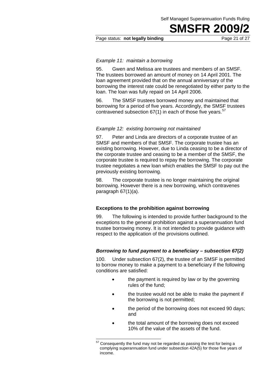#### Page status: **not legally binding** Page 21 of 27

#### *Example 11: maintain a borrowing*

95. Gwen and Melissa are trustees and members of an SMSF. The trustees borrowed an amount of money on 14 April 2001. The loan agreement provided that on the annual anniversary of the borrowing the interest rate could be renegotiated by either party to the loan. The loan was fully repaid on 14 April 2006.

96. The SMSF trustees borrowed money and maintained that borrowing for a period of five years. Accordingly, the SMSF trustees contravened subsection  $67(1)$  in each of those five years.<sup>57</sup>

#### *Example 12: existing borrowing not maintained*

97. Peter and Linda are directors of a corporate trustee of an SMSF and members of that SMSF. The corporate trustee has an existing borrowing. However, due to Linda ceasing to be a director of the corporate trustee and ceasing to be a member of the SMSF, the corporate trustee is required to repay the borrowing. The corporate trustee negotiates a new loan which enables the SMSF to pay out the previously existing borrowing.

98. The corporate trustee is no longer maintaining the original borrowing. However there is a new borrowing, which contravenes paragraph 67(1)(a).

#### **Exceptions to the prohibition against borrowing**

99. The following is intended to provide further background to the exceptions to the general prohibition against a superannuation fund trustee borrowing money. It is not intended to provide guidance with respect to the application of the provisions outlined.

#### *Borrowing to fund payment to a beneficiary – subsection 67(2)*

100. Under subsection 67(2), the trustee of an SMSF is permitted to borrow money to make a payment to a beneficiary if the following conditions are satisfied:

- the payment is required by law or by the governing rules of the fund;
- the trustee would not be able to make the payment if the borrowing is not permitted;
- the period of the borrowing does not exceed 90 days; and
- the total amount of the borrowing does not exceed 10% of the value of the assets of the fund.

1

 $57$  Consequently the fund may not be regarded as passing the test for being a complying superannuation fund under subsection 42A(5) for those five years of income.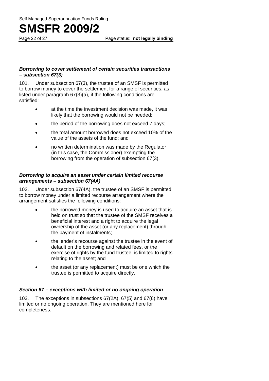Page 22 of 27 Page status: **not legally binding** 

#### *Borrowing to cover settlement of certain securities transactions – subsection 67(3)*

101. Under subsection 67(3), the trustee of an SMSF is permitted to borrow money to cover the settlement for a range of securities, as listed under paragraph 67(3)(a), if the following conditions are satisfied:

- at the time the investment decision was made, it was likely that the borrowing would not be needed;
- the period of the borrowing does not exceed 7 days;
- the total amount borrowed does not exceed 10% of the value of the assets of the fund; and
- no written determination was made by the Regulator (in this case, the Commissioner) exempting the borrowing from the operation of subsection 67(3).

#### *Borrowing to acquire an asset under certain limited recourse arrangements – subsection 67(4A)*

102. Under subsection 67(4A), the trustee of an SMSF is permitted to borrow money under a limited recourse arrangement where the arrangement satisfies the following conditions:

- the borrowed money is used to acquire an asset that is held on trust so that the trustee of the SMSF receives a beneficial interest and a right to acquire the legal ownership of the asset (or any replacement) through the payment of instalments;
- the lender's recourse against the trustee in the event of default on the borrowing and related fees, or the exercise of rights by the fund trustee, is limited to rights relating to the asset; and
- the asset (or any replacement) must be one which the trustee is permitted to acquire directly.

### *Section 67 – exceptions with limited or no ongoing operation*

103. The exceptions in subsections 67(2A), 67(5) and 67(6) have limited or no ongoing operation. They are mentioned here for completeness.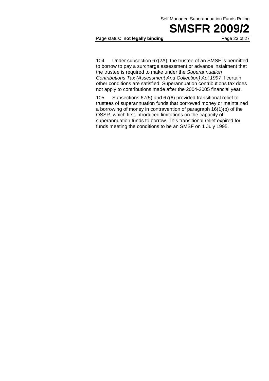#### Page status: **not legally binding** Page 23 of 27

104. Under subsection 67(2A), the trustee of an SMSF is permitted to borrow to pay a surcharge assessment or advance instalment that the trustee is required to make under the *Superannuation Contributions Tax (Assessment And Collection) Act 1997* if certain other conditions are satisfied. Superannuation contributions tax does not apply to contributions made after the 2004-2005 financial year.

105. Subsections 67(5) and 67(6) provided transitional relief to trustees of superannuation funds that borrowed money or maintained a borrowing of money in contravention of paragraph 16(1)(b) of the OSSR, which first introduced limitations on the capacity of superannuation funds to borrow. This transitional relief expired for funds meeting the conditions to be an SMSF on 1 July 1995.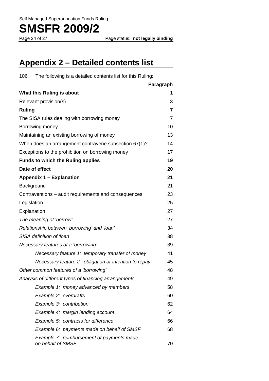Page status: **not legally binding** 

### **Appendix 2 – Detailed contents list**

106. The following is a detailed contents list for this Ruling:

|                                                                | Paragraph |
|----------------------------------------------------------------|-----------|
| What this Ruling is about                                      |           |
| Relevant provision(s)                                          | 3         |
| <b>Ruling</b>                                                  | 7         |
| The SISA rules dealing with borrowing money                    | 7         |
| Borrowing money                                                | 10        |
| Maintaining an existing borrowing of money                     | 13        |
| When does an arrangement contravene subsection 67(1)?          | 14        |
| Exceptions to the prohibition on borrowing money               | 17        |
| <b>Funds to which the Ruling applies</b>                       | 19        |
| Date of effect                                                 | 20        |
| <b>Appendix 1 - Explanation</b>                                | 21        |
| Background                                                     | 21        |
| Contraventions – audit requirements and consequences           | 23        |
| Legislation                                                    | 25        |
| Explanation                                                    | 27        |
| The meaning of 'borrow'                                        | 27        |
| Relationship between 'borrowing' and 'loan'                    | 34        |
| SISA definition of 'loan'                                      | 38        |
| Necessary features of a 'borrowing'                            | 39        |
| Necessary feature 1: temporary transfer of money               | 41        |
| Necessary feature 2: obligation or intention to repay          | 45        |
| Other common features of a 'borrowing'                         | 48        |
| Analysis of different types of financing arrangements          | 49        |
| Example 1: money advanced by members                           | 58        |
| Example 2: overdrafts                                          | 60        |
| Example 3: contribution                                        | 62        |
| Example 4: margin lending account                              | 64        |
| Example 5: contracts for difference                            | 66        |
| Example 6: payments made on behalf of SMSF                     | 68        |
| Example 7: reimbursement of payments made<br>on behalf of SMSF | 70        |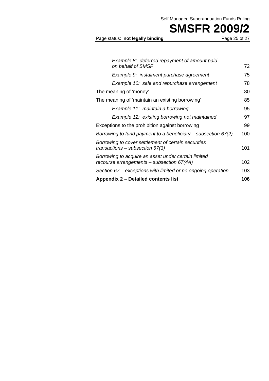Self Managed Superannuation Funds Ruling

Page status: not legally binding

**SMSFR 2009/2**<br>Page 25 of 27

| Example 8: deferred repayment of amount paid                                                     |     |
|--------------------------------------------------------------------------------------------------|-----|
| on behalf of SMSF                                                                                | 72  |
| Example 9: instalment purchase agreement                                                         | 75  |
| Example 10: sale and repurchase arrangement                                                      | 78  |
| The meaning of 'money'                                                                           | 80  |
| The meaning of 'maintain an existing borrowing'                                                  | 85  |
| Example 11: maintain a borrowing                                                                 | 95  |
| Example 12: existing borrowing not maintained                                                    | 97  |
| Exceptions to the prohibition against borrowing                                                  | 99  |
| Borrowing to fund payment to a beneficiary $-$ subsection 67(2)                                  | 100 |
| Borrowing to cover settlement of certain securities<br>transactions – subsection 67(3)           | 101 |
| Borrowing to acquire an asset under certain limited<br>recourse arrangements – subsection 67(4A) | 102 |
| Section 67 – exceptions with limited or no ongoing operation                                     | 103 |
| Appendix 2 – Detailed contents list                                                              | 106 |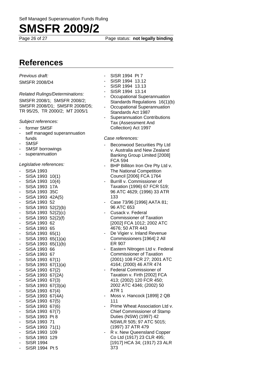Page 26 of 27 **Page status: not legally binding** 

### **References**

*Previous draft:*  SMSFR 2008/D4

#### *Related Rulings/Determinations:*

SMSFR 2008/1; SMSFR 2008/2; SMSFR 2008/D1; SMSFR 2008/D5; TR 95/25, TR 2000/2; MT 2005/1

*Subject references:* 

- former SMSF
- self managed superannuation funds
- SM<sub>SF</sub>
- SMSF borrowings
- superannuation

*Legislative references:* 

- SISA 1993
- SISA 1993 10(1)
- SISA 1993 10(4)
- SISA 1993 17A
- SISA 1993 35C
- SISA 1993 42A(5)
- SISA 1993 52
- SISA 1993 52(2)(b)
- SISA 1993 52(2)(c)
- SISA 1993 52(2)(f) - SISA 1993 62
- SISA 1993 65
- SISA 1993 65(1)
- SISA 1993 65(1)(a)
- SISA 1993 65(1)(b)
- SISA 1993 66
- SISA 1993 67
- SISA 1993 67(1)
- SISA 1993 67(1)(a)
- SISA 1993 67(2)
- SISA 1993 67(2A) - SISA 1993 67(3)
- SISA 1993 67(3)(a)
- SISA 1993 67(4)
- SISA 1993 67(4A)
- SISA 1993 67(5)
- SISA 1993 67(6)
- SISA 1993 67(7)
- SISA 1993 Pt 8
- SISA 1993 71
- SISA 1993 71(1) - SISA 1993 109
- SISA 1993 129
- SISR 1994
- SISR 1994 Pt 5
- SISR 1994 Pt 7
- SISR 1994 13.12
- SISR 1994 13.13
- SISR 1994 13.14
- Occupational Superannuation Standards Regulations 16(1)(b)
- Occupational Superannuation Standards Act 1987
- Superannuation Contributions Tax (Assessment And Collection) Act 1997

#### *Case references:*

- Beconwood Securities Pty Ltd v. Australia and New Zealand Banking Group Limited [2008] FCA 594
- BHP Billiton Iron Ore Pty Ltd v. The National Competition Council [2006] FCA 1764
- Burrill v. Commissioner of Taxation (1996) 67 FCR 519; 96 ATC 4629; (1996) 33 ATR 133
- Case 73/96 [1996] AATA 81; 96 ATC 653
- Cusack v. Federal Commissioner of Taxation [2002] FCA 1012; 2002 ATC 4676; 50 ATR 443
- De Vigier v. Inland Revenue Commissioners [1964] 2 All ER 907
- Eastern Nitrogen Ltd v. Federal Commissioner of Taxation (2001) 108 FCR 27; 2001 ATC 4164; (2000) 46 ATR 474
- Federal Commissioner of Taxation v. Firth [2002] FCA 413; (2002) 120 FCR 450; 2002 ATC 4346; (2002) 50 ATR 1
- Moss v. Hancock [1899] 2 QB 111
- Prime Wheat Association Ltd v. Chief Commissioner of Stamp Duties (NSW) (1997) 42 NSWLR 505; 97 ATC 5015; (1997) 37 ATR 479
- R v. New Queensland Copper Co Ltd (1917) 23 CLR 495; [1917] HCA 34; (1917) 23 ALR 373